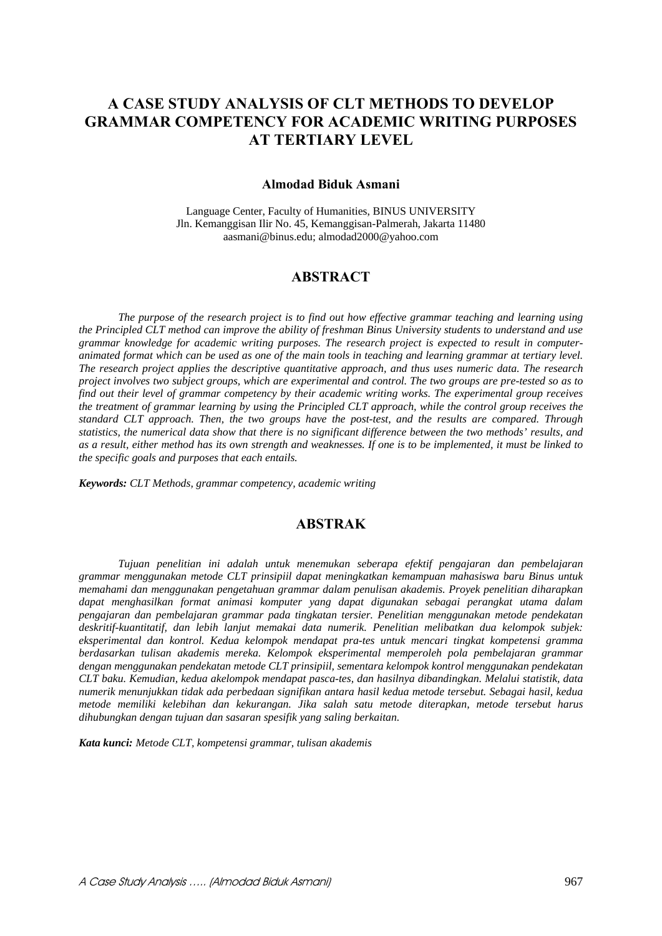# **A CASE STUDY ANALYSIS OF CLT METHODS TO DEVELOP GRAMMAR COMPETENCY FOR ACADEMIC WRITING PURPOSES AT TERTIARY LEVEL**

### **Almodad Biduk Asmani**

Language Center, Faculty of Humanities, BINUS UNIVERSITY Jln. Kemanggisan Ilir No. 45, Kemanggisan-Palmerah, Jakarta 11480 aasmani@binus.edu; almodad2000@yahoo.com

## **ABSTRACT**

*The purpose of the research project is to find out how effective grammar teaching and learning using the Principled CLT method can improve the ability of freshman Binus University students to understand and use grammar knowledge for academic writing purposes. The research project is expected to result in computeranimated format which can be used as one of the main tools in teaching and learning grammar at tertiary level. The research project applies the descriptive quantitative approach, and thus uses numeric data. The research project involves two subject groups, which are experimental and control. The two groups are pre-tested so as to find out their level of grammar competency by their academic writing works. The experimental group receives the treatment of grammar learning by using the Principled CLT approach, while the control group receives the standard CLT approach. Then, the two groups have the post-test, and the results are compared. Through statistics, the numerical data show that there is no significant difference between the two methods' results, and as a result, either method has its own strength and weaknesses. If one is to be implemented, it must be linked to the specific goals and purposes that each entails.* 

*Keywords: CLT Methods, grammar competency, academic writing*

### **ABSTRAK**

*Tujuan penelitian ini adalah untuk menemukan seberapa efektif pengajaran dan pembelajaran grammar menggunakan metode CLT prinsipiil dapat meningkatkan kemampuan mahasiswa baru Binus untuk memahami dan menggunakan pengetahuan grammar dalam penulisan akademis. Proyek penelitian diharapkan dapat menghasilkan format animasi komputer yang dapat digunakan sebagai perangkat utama dalam pengajaran dan pembelajaran grammar pada tingkatan tersier. Penelitian menggunakan metode pendekatan deskritif-kuantitatif, dan lebih lanjut memakai data numerik. Penelitian melibatkan dua kelompok subjek: eksperimental dan kontrol. Kedua kelompok mendapat pra-tes untuk mencari tingkat kompetensi gramma berdasarkan tulisan akademis mereka. Kelompok eksperimental memperoleh pola pembelajaran grammar dengan menggunakan pendekatan metode CLT prinsipiil, sementara kelompok kontrol menggunakan pendekatan CLT baku. Kemudian, kedua akelompok mendapat pasca-tes, dan hasilnya dibandingkan. Melalui statistik, data numerik menunjukkan tidak ada perbedaan signifikan antara hasil kedua metode tersebut. Sebagai hasil, kedua metode memiliki kelebihan dan kekurangan. Jika salah satu metode diterapkan, metode tersebut harus dihubungkan dengan tujuan dan sasaran spesifik yang saling berkaitan.* 

*Kata kunci: Metode CLT, kompetensi grammar, tulisan akademis*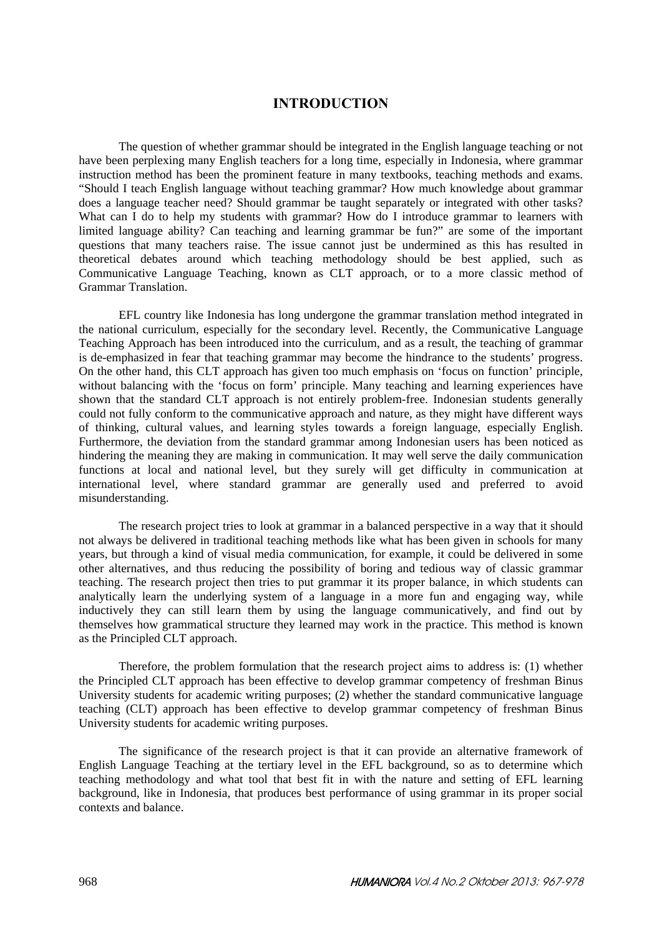## **INTRODUCTION**

The question of whether grammar should be integrated in the English language teaching or not have been perplexing many English teachers for a long time, especially in Indonesia, where grammar instruction method has been the prominent feature in many textbooks, teaching methods and exams. "Should I teach English language without teaching grammar? How much knowledge about grammar does a language teacher need? Should grammar be taught separately or integrated with other tasks? What can I do to help my students with grammar? How do I introduce grammar to learners with limited language ability? Can teaching and learning grammar be fun?" are some of the important questions that many teachers raise. The issue cannot just be undermined as this has resulted in theoretical debates around which teaching methodology should be best applied, such as Communicative Language Teaching, known as CLT approach, or to a more classic method of Grammar Translation.

EFL country like Indonesia has long undergone the grammar translation method integrated in the national curriculum, especially for the secondary level. Recently, the Communicative Language Teaching Approach has been introduced into the curriculum, and as a result, the teaching of grammar is de-emphasized in fear that teaching grammar may become the hindrance to the students' progress. On the other hand, this CLT approach has given too much emphasis on 'focus on function' principle, without balancing with the 'focus on form' principle. Many teaching and learning experiences have shown that the standard CLT approach is not entirely problem-free. Indonesian students generally could not fully conform to the communicative approach and nature, as they might have different ways of thinking, cultural values, and learning styles towards a foreign language, especially English. Furthermore, the deviation from the standard grammar among Indonesian users has been noticed as hindering the meaning they are making in communication. It may well serve the daily communication functions at local and national level, but they surely will get difficulty in communication at international level, where standard grammar are generally used and preferred to avoid misunderstanding.

The research project tries to look at grammar in a balanced perspective in a way that it should not always be delivered in traditional teaching methods like what has been given in schools for many years, but through a kind of visual media communication, for example, it could be delivered in some other alternatives, and thus reducing the possibility of boring and tedious way of classic grammar teaching. The research project then tries to put grammar it its proper balance, in which students can analytically learn the underlying system of a language in a more fun and engaging way, while inductively they can still learn them by using the language communicatively, and find out by themselves how grammatical structure they learned may work in the practice. This method is known as the Principled CLT approach.

Therefore, the problem formulation that the research project aims to address is: (1) whether the Principled CLT approach has been effective to develop grammar competency of freshman Binus University students for academic writing purposes; (2) whether the standard communicative language teaching (CLT) approach has been effective to develop grammar competency of freshman Binus University students for academic writing purposes.

The significance of the research project is that it can provide an alternative framework of English Language Teaching at the tertiary level in the EFL background, so as to determine which teaching methodology and what tool that best fit in with the nature and setting of EFL learning background, like in Indonesia, that produces best performance of using grammar in its proper social contexts and balance.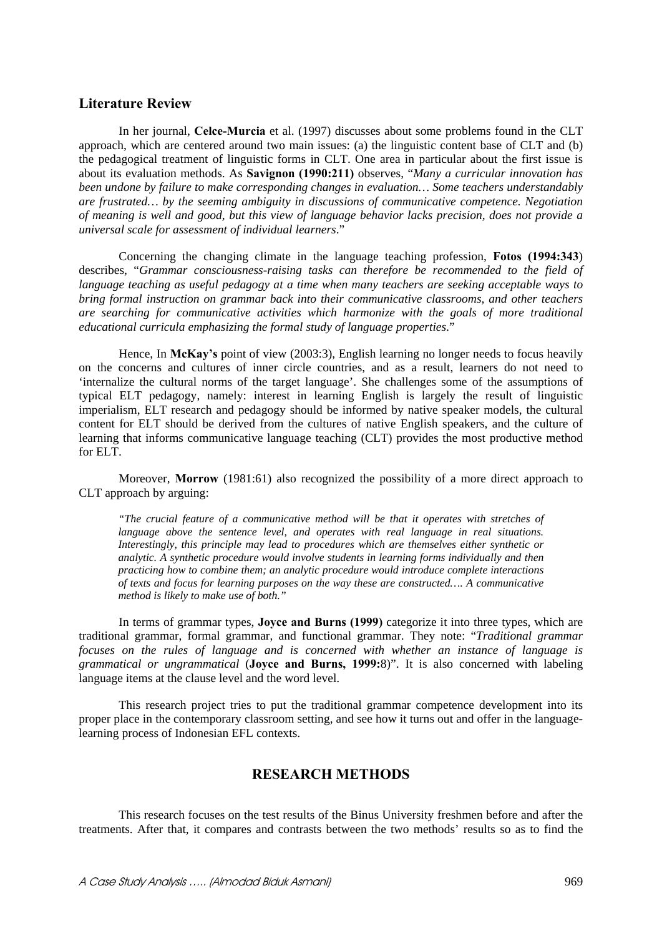### **Literature Review**

In her journal, **Celce-Murcia** et al. (1997) discusses about some problems found in the CLT approach, which are centered around two main issues: (a) the linguistic content base of CLT and (b) the pedagogical treatment of linguistic forms in CLT. One area in particular about the first issue is about its evaluation methods. As **Savignon (1990:211)** observes, "*Many a curricular innovation has been undone by failure to make corresponding changes in evaluation… Some teachers understandably are frustrated… by the seeming ambiguity in discussions of communicative competence. Negotiation of meaning is well and good, but this view of language behavior lacks precision, does not provide a universal scale for assessment of individual learners*."

Concerning the changing climate in the language teaching profession, **Fotos (1994:343**) describes, "*Grammar consciousness-raising tasks can therefore be recommended to the field of language teaching as useful pedagogy at a time when many teachers are seeking acceptable ways to bring formal instruction on grammar back into their communicative classrooms, and other teachers are searching for communicative activities which harmonize with the goals of more traditional educational curricula emphasizing the formal study of language properties*."

Hence, In **McKay's** point of view (2003:3), English learning no longer needs to focus heavily on the concerns and cultures of inner circle countries, and as a result, learners do not need to 'internalize the cultural norms of the target language'. She challenges some of the assumptions of typical ELT pedagogy, namely: interest in learning English is largely the result of linguistic imperialism, ELT research and pedagogy should be informed by native speaker models, the cultural content for ELT should be derived from the cultures of native English speakers, and the culture of learning that informs communicative language teaching (CLT) provides the most productive method for ELT.

Moreover, **Morrow** (1981:61) also recognized the possibility of a more direct approach to CLT approach by arguing:

*"The crucial feature of a communicative method will be that it operates with stretches of language above the sentence level, and operates with real language in real situations. Interestingly, this principle may lead to procedures which are themselves either synthetic or analytic. A synthetic procedure would involve students in learning forms individually and then practicing how to combine them; an analytic procedure would introduce complete interactions of texts and focus for learning purposes on the way these are constructed…. A communicative method is likely to make use of both."* 

In terms of grammar types, **Joyce and Burns (1999)** categorize it into three types, which are traditional grammar, formal grammar, and functional grammar. They note: "*Traditional grammar focuses on the rules of language and is concerned with whether an instance of language is grammatical or ungrammatical* (**Joyce and Burns, 1999:**8)". It is also concerned with labeling language items at the clause level and the word level.

This research project tries to put the traditional grammar competence development into its proper place in the contemporary classroom setting, and see how it turns out and offer in the languagelearning process of Indonesian EFL contexts.

## **RESEARCH METHODS**

This research focuses on the test results of the Binus University freshmen before and after the treatments. After that, it compares and contrasts between the two methods' results so as to find the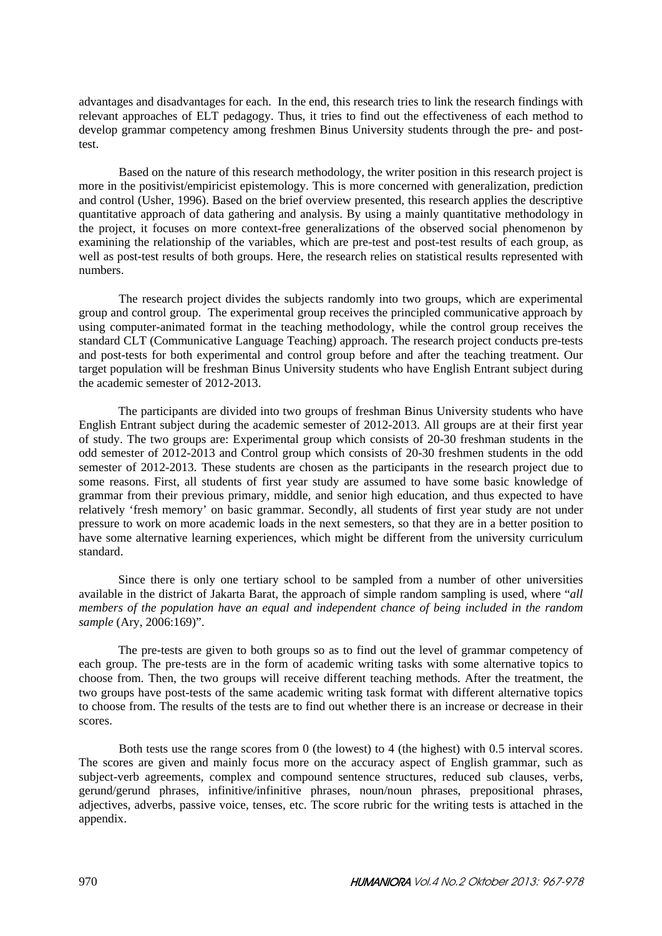advantages and disadvantages for each. In the end, this research tries to link the research findings with relevant approaches of ELT pedagogy. Thus, it tries to find out the effectiveness of each method to develop grammar competency among freshmen Binus University students through the pre- and posttest.

Based on the nature of this research methodology, the writer position in this research project is more in the positivist/empiricist epistemology. This is more concerned with generalization, prediction and control (Usher, 1996). Based on the brief overview presented, this research applies the descriptive quantitative approach of data gathering and analysis. By using a mainly quantitative methodology in the project, it focuses on more context-free generalizations of the observed social phenomenon by examining the relationship of the variables, which are pre-test and post-test results of each group, as well as post-test results of both groups. Here, the research relies on statistical results represented with numbers.

The research project divides the subjects randomly into two groups, which are experimental group and control group. The experimental group receives the principled communicative approach by using computer-animated format in the teaching methodology, while the control group receives the standard CLT (Communicative Language Teaching) approach. The research project conducts pre-tests and post-tests for both experimental and control group before and after the teaching treatment. Our target population will be freshman Binus University students who have English Entrant subject during the academic semester of 2012-2013.

The participants are divided into two groups of freshman Binus University students who have English Entrant subject during the academic semester of 2012-2013. All groups are at their first year of study. The two groups are: Experimental group which consists of 20-30 freshman students in the odd semester of 2012-2013 and Control group which consists of 20-30 freshmen students in the odd semester of 2012-2013. These students are chosen as the participants in the research project due to some reasons. First, all students of first year study are assumed to have some basic knowledge of grammar from their previous primary, middle, and senior high education, and thus expected to have relatively 'fresh memory' on basic grammar. Secondly, all students of first year study are not under pressure to work on more academic loads in the next semesters, so that they are in a better position to have some alternative learning experiences, which might be different from the university curriculum standard.

Since there is only one tertiary school to be sampled from a number of other universities available in the district of Jakarta Barat, the approach of simple random sampling is used, where "*all members of the population have an equal and independent chance of being included in the random sample* (Ary, 2006:169)".

The pre-tests are given to both groups so as to find out the level of grammar competency of each group. The pre-tests are in the form of academic writing tasks with some alternative topics to choose from. Then, the two groups will receive different teaching methods. After the treatment, the two groups have post-tests of the same academic writing task format with different alternative topics to choose from. The results of the tests are to find out whether there is an increase or decrease in their scores.

Both tests use the range scores from 0 (the lowest) to 4 (the highest) with 0.5 interval scores. The scores are given and mainly focus more on the accuracy aspect of English grammar, such as subject-verb agreements, complex and compound sentence structures, reduced sub clauses, verbs, gerund/gerund phrases, infinitive/infinitive phrases, noun/noun phrases, prepositional phrases, adjectives, adverbs, passive voice, tenses, etc. The score rubric for the writing tests is attached in the appendix.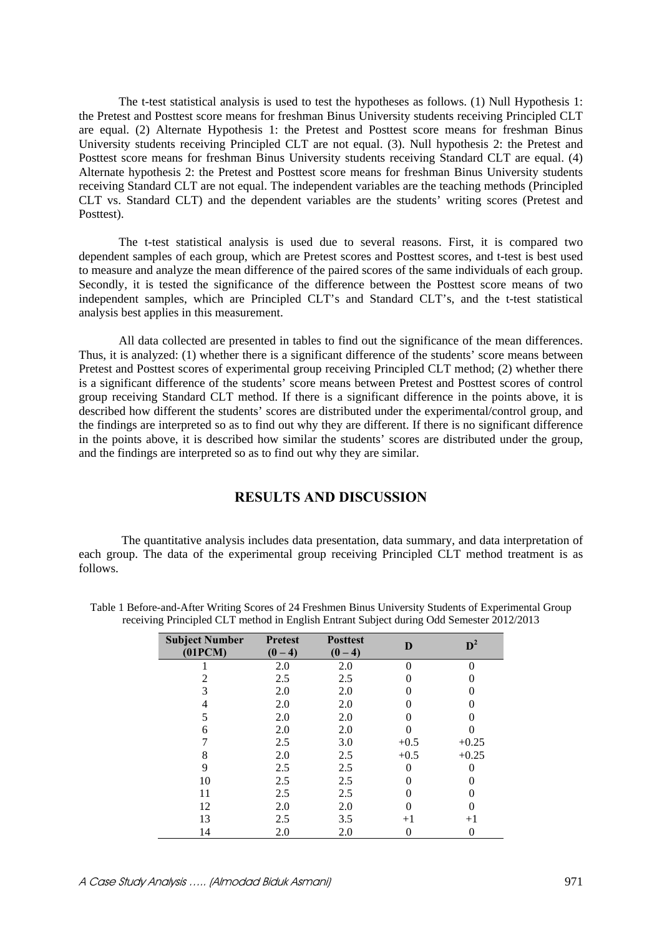The t-test statistical analysis is used to test the hypotheses as follows. (1) Null Hypothesis 1: the Pretest and Posttest score means for freshman Binus University students receiving Principled CLT are equal. (2) Alternate Hypothesis 1: the Pretest and Posttest score means for freshman Binus University students receiving Principled CLT are not equal. (3). Null hypothesis 2: the Pretest and Posttest score means for freshman Binus University students receiving Standard CLT are equal. (4) Alternate hypothesis 2: the Pretest and Posttest score means for freshman Binus University students receiving Standard CLT are not equal. The independent variables are the teaching methods (Principled CLT vs. Standard CLT) and the dependent variables are the students' writing scores (Pretest and Posttest).

The t-test statistical analysis is used due to several reasons. First, it is compared two dependent samples of each group, which are Pretest scores and Posttest scores, and t-test is best used to measure and analyze the mean difference of the paired scores of the same individuals of each group. Secondly, it is tested the significance of the difference between the Posttest score means of two independent samples, which are Principled CLT's and Standard CLT's, and the t-test statistical analysis best applies in this measurement.

All data collected are presented in tables to find out the significance of the mean differences. Thus, it is analyzed: (1) whether there is a significant difference of the students' score means between Pretest and Posttest scores of experimental group receiving Principled CLT method; (2) whether there is a significant difference of the students' score means between Pretest and Posttest scores of control group receiving Standard CLT method. If there is a significant difference in the points above, it is described how different the students' scores are distributed under the experimental/control group, and the findings are interpreted so as to find out why they are different. If there is no significant difference in the points above, it is described how similar the students' scores are distributed under the group, and the findings are interpreted so as to find out why they are similar.

## **RESULTS AND DISCUSSION**

The quantitative analysis includes data presentation, data summary, and data interpretation of each group. The data of the experimental group receiving Principled CLT method treatment is as follows.

| <b>Subject Number</b><br>(01PCM) | <b>Pretest</b><br>$(0 - 4)$ | <b>Posttest</b><br>$(0 - 4)$ | D             | $\mathbf{D}^2$    |
|----------------------------------|-----------------------------|------------------------------|---------------|-------------------|
|                                  | 2.0                         | 2.0                          | $\mathcal{L}$ | $\mathbf{0}$      |
| 2                                | 2.5                         | 2.5                          |               |                   |
| 3                                | 2.0                         | 2.0                          |               |                   |
| 4                                | 2.0                         | 2.0                          |               |                   |
| 5                                | 2.0                         | 2.0                          |               |                   |
| 6                                | 2.0                         | 2.0                          |               |                   |
|                                  | 2.5                         | 3.0                          | $+0.5$        | $+0.25$           |
| 8                                | 2.0                         | 2.5                          | $+0.5$        | $+0.25$           |
| 9                                | 2.5                         | 2.5                          |               | $\mathbf{\Omega}$ |
| 10                               | 2.5                         | 2.5                          |               |                   |
| 11                               | 2.5                         | 2.5                          |               |                   |
| 12                               | 2.0                         | 2.0                          |               |                   |
| 13                               | 2.5                         | 3.5                          | $+1$          | $+1$              |
| 14                               | 2.0                         | 2.0                          |               | $\theta$          |

Table 1 Before-and-After Writing Scores of 24 Freshmen Binus University Students of Experimental Group receiving Principled CLT method in English Entrant Subject during Odd Semester 2012/2013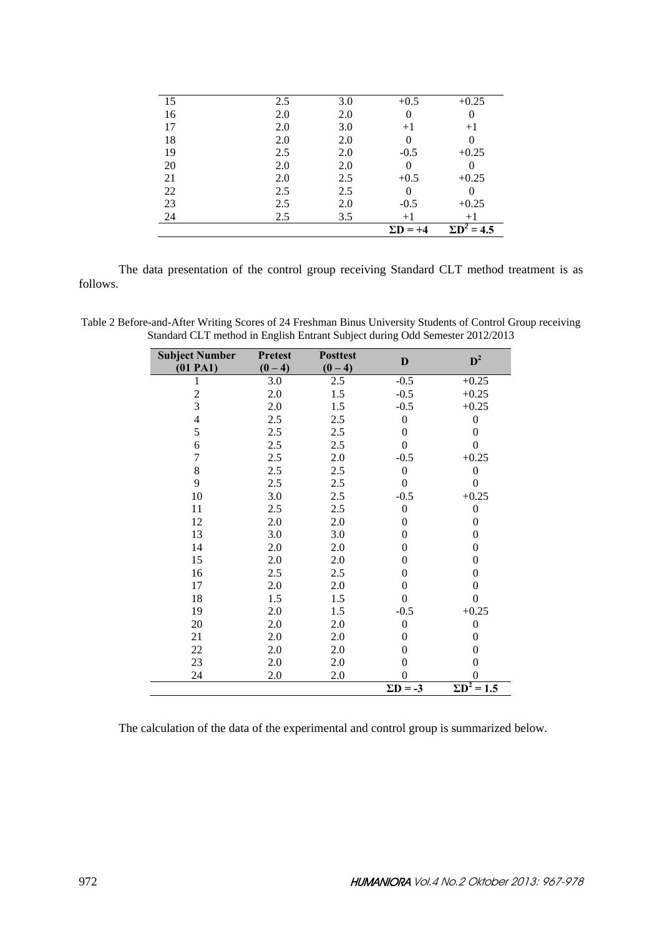|    |     |     | $\Sigma D = +4$ | УŊ-     |
|----|-----|-----|-----------------|---------|
| 24 | 2.5 | 3.5 | $+1$            | $+1$    |
| 23 | 2.5 | 2.0 | $-0.5$          | $+0.25$ |
| 22 | 2.5 | 2.5 | $\theta$        |         |
| 21 | 2.0 | 2.5 | $+0.5$          | $+0.25$ |
| 20 | 2.0 | 2.0 | $\Omega$        |         |
| 19 | 2.5 | 2.0 | $-0.5$          | $+0.25$ |
| 18 | 2.0 | 2.0 | $\theta$        |         |
| 17 | 2.0 | 3.0 | $+1$            | $+1$    |
| 16 | 2.0 | 2.0 | 0               | 0       |
| 15 | 2.5 | 3.0 | $+0.5$          | $+0.25$ |
|    |     |     |                 |         |

The data presentation of the control group receiving Standard CLT method treatment is as follows.

Table 2 Before-and-After Writing Scores of 24 Freshman Binus University Students of Control Group receiving Standard CLT method in English Entrant Subject during Odd Semester 2012/2013

| <b>Subject Number</b><br>$(01$ PA1 $)$ | <b>Pretest</b><br>$(0-4)$ | <b>Posttest</b><br>$(0-4)$ | $\mathbf{D}$    | $D^2$              |
|----------------------------------------|---------------------------|----------------------------|-----------------|--------------------|
| 1                                      | 3.0                       | 2.5                        | $-0.5$          | $+0.25$            |
| $\overline{2}$                         | 2.0                       | 1.5                        | $-0.5$          | $+0.25$            |
| $\overline{3}$                         | 2.0                       | 1.5                        | $-0.5$          | $+0.25$            |
| $\overline{4}$                         | 2.5                       | 2.5                        | $\overline{0}$  | $\boldsymbol{0}$   |
| 5                                      | 2.5                       | 2.5                        | $\overline{0}$  | $\overline{0}$     |
| 6                                      | 2.5                       | 2.5                        | $\theta$        | $\theta$           |
| $\overline{7}$                         | 2.5                       | 2.0                        | $-0.5$          | $+0.25$            |
| 8                                      | 2.5                       | 2.5                        | $\theta$        | $\boldsymbol{0}$   |
| 9                                      | 2.5                       | 2.5                        | $\Omega$        | $\boldsymbol{0}$   |
| 10                                     | 3.0                       | 2.5                        | $-0.5$          | $+0.25$            |
| 11                                     | 2.5                       | 2.5                        | $\mathbf{0}$    | $\boldsymbol{0}$   |
| 12                                     | 2.0                       | 2.0                        | $\overline{0}$  | $\mathbf{0}$       |
| 13                                     | 3.0                       | 3.0                        | $\theta$        | $\boldsymbol{0}$   |
| 14                                     | 2.0                       | 2.0                        | $\theta$        | $\mathbf{0}$       |
| 15                                     | 2.0                       | 2.0                        | $\theta$        | $\boldsymbol{0}$   |
| 16                                     | 2.5                       | 2.5                        | $\theta$        | $\overline{0}$     |
| 17                                     | 2.0                       | 2.0                        | $\theta$        | $\overline{0}$     |
| 18                                     | 1.5                       | 1.5                        | $\theta$        | $\boldsymbol{0}$   |
| 19                                     | 2.0                       | 1.5                        | $-0.5$          | $+0.25$            |
| 20                                     | 2.0                       | 2.0                        | $\mathbf{0}$    | $\theta$           |
| 21                                     | 2.0                       | 2.0                        | $\theta$        | $\mathbf{0}$       |
| 22                                     | 2.0                       | 2.0                        | $\theta$        | $\overline{0}$     |
| 23                                     | 2.0                       | 2.0                        | $\Omega$        | $\boldsymbol{0}$   |
| 24                                     | 2.0                       | 2.0                        | $\overline{0}$  | $\overline{0}$     |
|                                        |                           |                            | $\Sigma D = -3$ | $\Sigma D^2 = 1.5$ |

The calculation of the data of the experimental and control group is summarized below.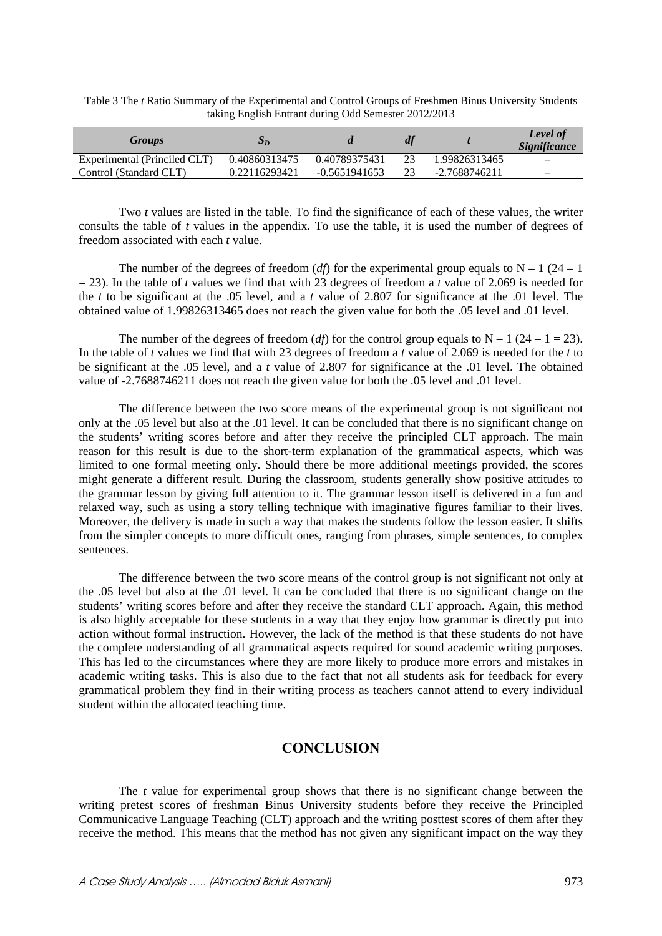| Table 3 The t Ratio Summary of the Experimental and Control Groups of Freshmen Binus University Students |  |
|----------------------------------------------------------------------------------------------------------|--|
| taking English Entrant during Odd Semester 2012/2013                                                     |  |

| Groups                       | תכ            |                 | df |               | <b>Level</b> of<br><i>Significance</i> |
|------------------------------|---------------|-----------------|----|---------------|----------------------------------------|
| Experimental (Princiled CLT) | 0.40860313475 | 0.40789375431   | 23 | 1.99826313465 | $\hspace{0.1mm}-\hspace{0.1mm}$        |
| Control (Standard CLT)       | 0.22116293421 | $-0.5651941653$ |    | -2.7688746211 | -                                      |

Two *t* values are listed in the table. To find the significance of each of these values, the writer consults the table of *t* values in the appendix. To use the table, it is used the number of degrees of freedom associated with each *t* value.

The number of the degrees of freedom (*df*) for the experimental group equals to  $N - 1$  (24 – 1) = 23). In the table of *t* values we find that with 23 degrees of freedom a *t* value of 2.069 is needed for the *t* to be significant at the .05 level, and a *t* value of 2.807 for significance at the .01 level. The obtained value of 1.99826313465 does not reach the given value for both the .05 level and .01 level.

The number of the degrees of freedom (*df*) for the control group equals to  $N - 1$  (24 – 1 = 23). In the table of *t* values we find that with 23 degrees of freedom a *t* value of 2.069 is needed for the *t* to be significant at the .05 level, and a *t* value of 2.807 for significance at the .01 level. The obtained value of -2.7688746211 does not reach the given value for both the .05 level and .01 level.

The difference between the two score means of the experimental group is not significant not only at the .05 level but also at the .01 level. It can be concluded that there is no significant change on the students' writing scores before and after they receive the principled CLT approach. The main reason for this result is due to the short-term explanation of the grammatical aspects, which was limited to one formal meeting only. Should there be more additional meetings provided, the scores might generate a different result. During the classroom, students generally show positive attitudes to the grammar lesson by giving full attention to it. The grammar lesson itself is delivered in a fun and relaxed way, such as using a story telling technique with imaginative figures familiar to their lives. Moreover, the delivery is made in such a way that makes the students follow the lesson easier. It shifts from the simpler concepts to more difficult ones, ranging from phrases, simple sentences, to complex sentences.

The difference between the two score means of the control group is not significant not only at the .05 level but also at the .01 level. It can be concluded that there is no significant change on the students' writing scores before and after they receive the standard CLT approach. Again, this method is also highly acceptable for these students in a way that they enjoy how grammar is directly put into action without formal instruction. However, the lack of the method is that these students do not have the complete understanding of all grammatical aspects required for sound academic writing purposes. This has led to the circumstances where they are more likely to produce more errors and mistakes in academic writing tasks. This is also due to the fact that not all students ask for feedback for every grammatical problem they find in their writing process as teachers cannot attend to every individual student within the allocated teaching time.

## **CONCLUSION**

The *t* value for experimental group shows that there is no significant change between the writing pretest scores of freshman Binus University students before they receive the Principled Communicative Language Teaching (CLT) approach and the writing posttest scores of them after they receive the method. This means that the method has not given any significant impact on the way they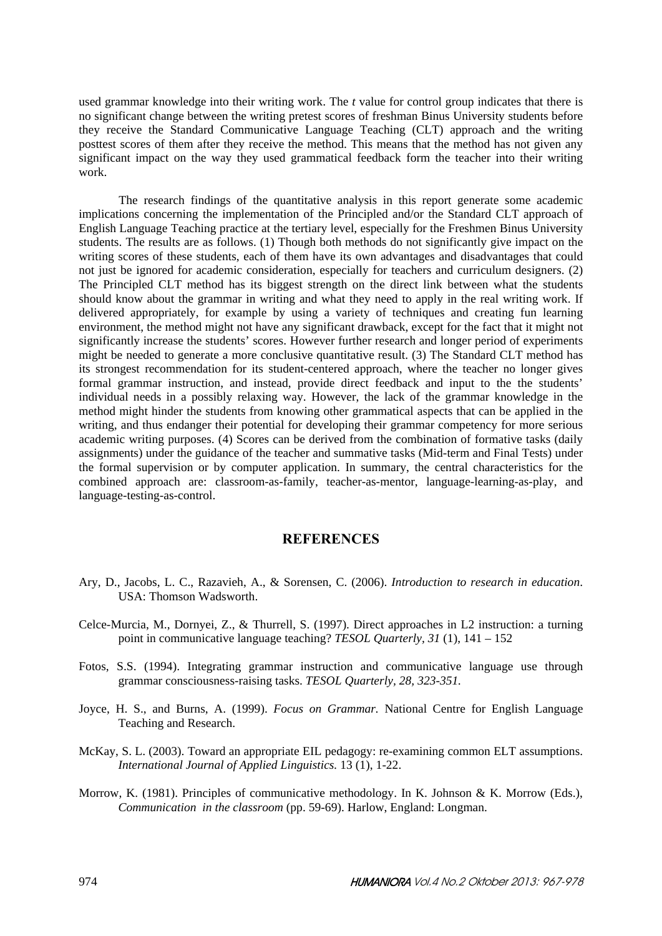used grammar knowledge into their writing work. The *t* value for control group indicates that there is no significant change between the writing pretest scores of freshman Binus University students before they receive the Standard Communicative Language Teaching (CLT) approach and the writing posttest scores of them after they receive the method. This means that the method has not given any significant impact on the way they used grammatical feedback form the teacher into their writing work.

The research findings of the quantitative analysis in this report generate some academic implications concerning the implementation of the Principled and/or the Standard CLT approach of English Language Teaching practice at the tertiary level, especially for the Freshmen Binus University students. The results are as follows. (1) Though both methods do not significantly give impact on the writing scores of these students, each of them have its own advantages and disadvantages that could not just be ignored for academic consideration, especially for teachers and curriculum designers. (2) The Principled CLT method has its biggest strength on the direct link between what the students should know about the grammar in writing and what they need to apply in the real writing work. If delivered appropriately, for example by using a variety of techniques and creating fun learning environment, the method might not have any significant drawback, except for the fact that it might not significantly increase the students' scores. However further research and longer period of experiments might be needed to generate a more conclusive quantitative result. (3) The Standard CLT method has its strongest recommendation for its student-centered approach, where the teacher no longer gives formal grammar instruction, and instead, provide direct feedback and input to the the students' individual needs in a possibly relaxing way. However, the lack of the grammar knowledge in the method might hinder the students from knowing other grammatical aspects that can be applied in the writing, and thus endanger their potential for developing their grammar competency for more serious academic writing purposes. (4) Scores can be derived from the combination of formative tasks (daily assignments) under the guidance of the teacher and summative tasks (Mid-term and Final Tests) under the formal supervision or by computer application. In summary, the central characteristics for the combined approach are: classroom-as-family, teacher-as-mentor, language-learning-as-play, and language-testing-as-control.

### **REFERENCES**

- Ary, D., Jacobs, L. C., Razavieh, A., & Sorensen, C. (2006). *Introduction to research in education*. USA: Thomson Wadsworth.
- Celce-Murcia, M., Dornyei, Z., & Thurrell, S. (1997). Direct approaches in L2 instruction: a turning point in communicative language teaching? *TESOL Quarterly, 31* (1), 141 – 152
- Fotos, S.S. (1994). Integrating grammar instruction and communicative language use through grammar consciousness-raising tasks. *TESOL Quarterly, 28, 323-351.*
- Joyce, H. S., and Burns, A. (1999). *Focus on Grammar.* National Centre for English Language Teaching and Research.
- McKay, S. L. (2003). Toward an appropriate EIL pedagogy: re-examining common ELT assumptions. *International Journal of Applied Linguistics.* 13 (1), 1-22.
- Morrow, K. (1981). Principles of communicative methodology. In K. Johnson & K. Morrow (Eds.), *Communication in the classroom* (pp. 59-69). Harlow, England: Longman.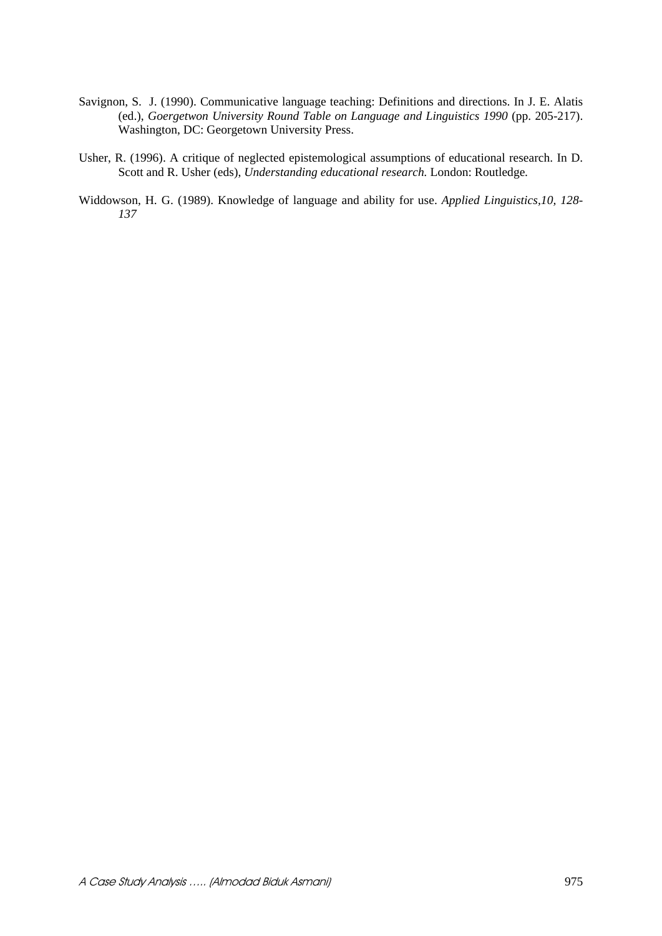- Savignon, S. J. (1990). Communicative language teaching: Definitions and directions. In J. E. Alatis (ed.), *Goergetwon University Round Table on Language and Linguistics 1990* (pp. 205-217). Washington, DC: Georgetown University Press.
- Usher, R. (1996). A critique of neglected epistemological assumptions of educational research. In D. Scott and R. Usher (eds), *Understanding educational research.* London: Routledge*.*
- Widdowson, H. G. (1989). Knowledge of language and ability for use. *Applied Linguistics,10, 128- 137*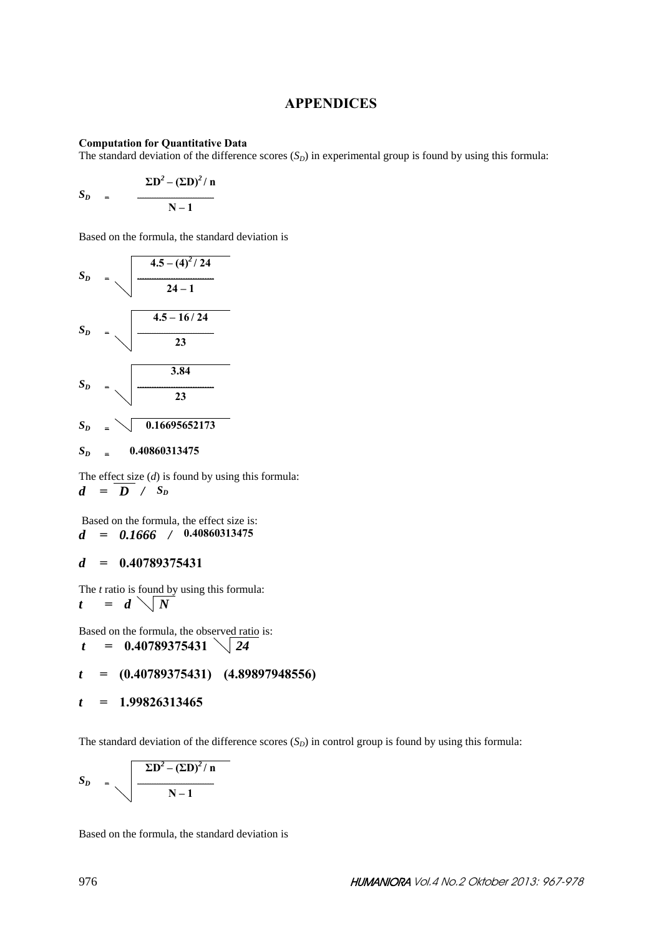## **APPENDICES**

#### **Computation for Quantitative Data**

The standard deviation of the difference scores  $(S_D)$  in experimental group is found by using this formula:

$$
S_D = \frac{\Sigma D^2 - (\Sigma D)^2 / n}{N - 1}
$$

Based on the formula, the standard deviation is

$$
S_D = \sqrt{\frac{4.5 - (4)^2 / 24}{24 - 1}}
$$
  
\n
$$
S_D = \sqrt{\frac{4.5 - 16 / 24}{23}}
$$
  
\n
$$
S_D = \sqrt{\frac{3.84}{23}}
$$
  
\n
$$
S_D = \sqrt{0.16695652173}
$$
  
\n
$$
S_D = 0.40860313475
$$

The effect size (*d*) is found by using this formula:  $d = \overline{D}$  /  $S_D$ 

Based on the formula, the effect size is: *d* **=** *0.1666 /* **0.40860313475**

#### *d* **= 0.40789375431**

The *t* ratio is found by using this formula:  $t = d \sqrt{N}$ 

Based on the formula, the observed ratio is:  $t = 0.40789375431 \sqrt{24}$ 

*t* **= (0.40789375431) (4.89897948556)**

$$
t = 1.99826313465
$$

The standard deviation of the difference scores  $(S_D)$  in control group is found by using this formula:

$$
S_D = \sqrt{\frac{\Sigma D^2 - (\Sigma D)^2 / n}{N - 1}}
$$

Based on the formula, the standard deviation is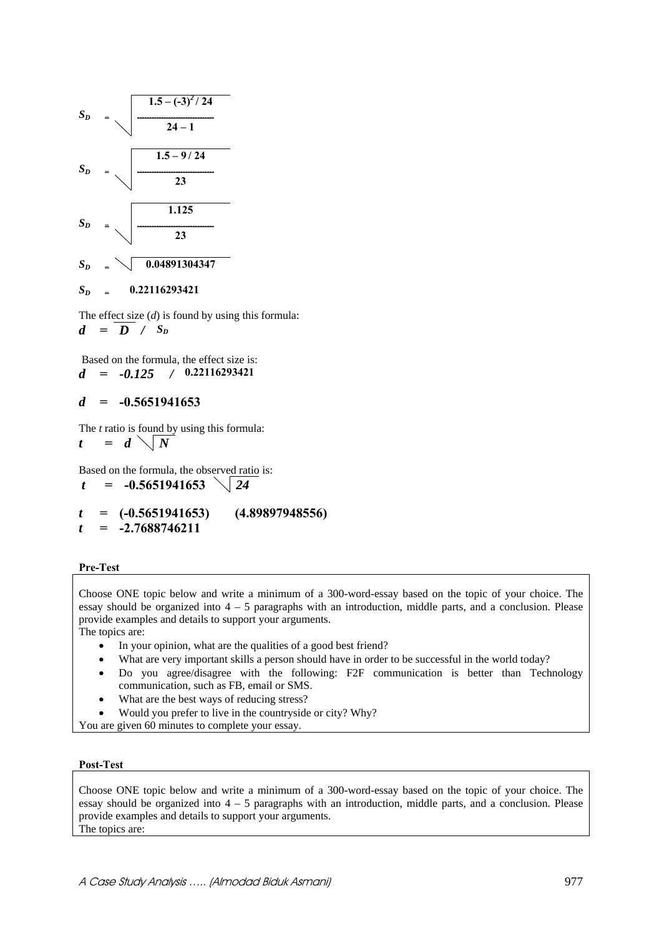

The effect size (*d*) is found by using this formula:  $d = D / S_D$ 

Based on the formula, the effect size is: *d* **=** *-0.125 /* **0.22116293421**

#### *d* **= -0.5651941653**

The *t* ratio is found by using this formula:  $t = d \sqrt{N}$ 

Based on the formula, the observed ratio is:  $t = -0.5651941653$  | 24

*t* **= (-0.5651941653) (4.89897948556)**  *t* **= -2.7688746211** 

#### **Pre-Test**

Choose ONE topic below and write a minimum of a 300-word-essay based on the topic of your choice. The essay should be organized into 4 – 5 paragraphs with an introduction, middle parts, and a conclusion. Please provide examples and details to support your arguments.

The topics are:

- In your opinion, what are the qualities of a good best friend?
- What are very important skills a person should have in order to be successful in the world today?
- Do you agree/disagree with the following: F2F communication is better than Technology communication, such as FB, email or SMS.
- What are the best ways of reducing stress?
- Would you prefer to live in the countryside or city? Why?

You are given 60 minutes to complete your essay.

#### **Post-Test**

Choose ONE topic below and write a minimum of a 300-word-essay based on the topic of your choice. The essay should be organized into 4 – 5 paragraphs with an introduction, middle parts, and a conclusion. Please provide examples and details to support your arguments. The topics are: